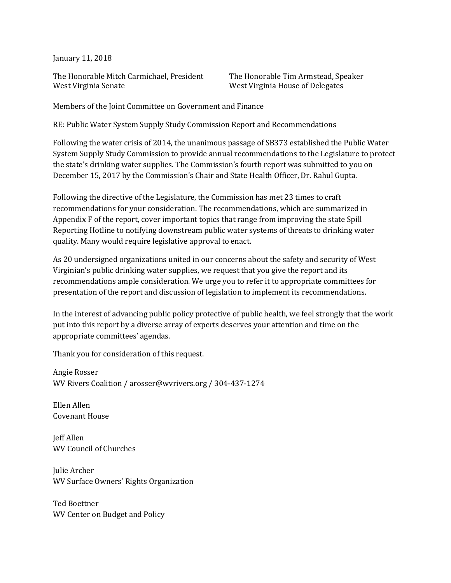January 11, 2018

The Honorable Mitch Carmichael, President West Virginia Senate

The Honorable Tim Armstead, Speaker West Virginia House of Delegates

Members of the Joint Committee on Government and Finance

RE: Public Water System Supply Study Commission Report and Recommendations

Following the water crisis of 2014, the unanimous passage of SB373 established the Public Water System Supply Study Commission to provide annual recommendations to the Legislature to protect the state's drinking water supplies. The Commission's fourth report was submitted to you on December 15, 2017 by the Commission's Chair and State Health Officer, Dr. Rahul Gupta.

Following the directive of the Legislature, the Commission has met 23 times to craft recommendations for your consideration. The recommendations, which are summarized in Appendix F of the report, cover important topics that range from improving the state Spill Reporting Hotline to notifying downstream public water systems of threats to drinking water quality. Many would require legislative approval to enact.

As 20 undersigned organizations united in our concerns about the safety and security of West Virginian's public drinking water supplies, we request that you give the report and its recommendations ample consideration. We urge you to refer it to appropriate committees for presentation of the report and discussion of legislation to implement its recommendations.

In the interest of advancing public policy protective of public health, we feel strongly that the work put into this report by a diverse array of experts deserves your attention and time on the appropriate committees' agendas.

Thank you for consideration of this request.

Angie Rosser WV Rivers Coalition / [arosser@wvrivers.org](mailto:arosser@wvrivers.org) / 304-437-1274

Ellen Allen Covenant House

Jeff Allen WV Council of Churches

Julie Archer WV Surface Owners' Rights Organization

Ted Boettner WV Center on Budget and Policy